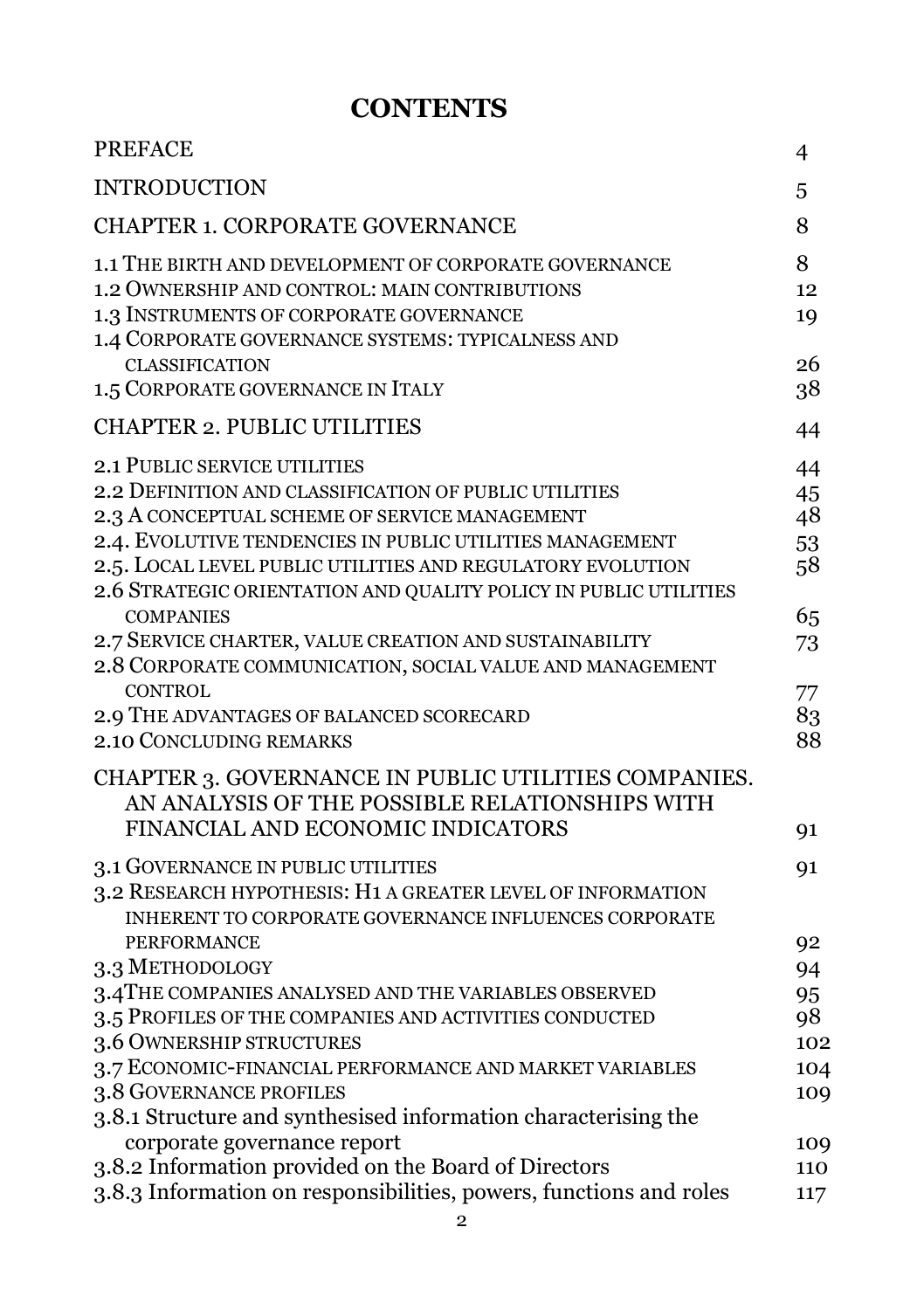## **CONTENTS**

| <b>PREFACE</b>                                                                                                                                                                                                                                                                                                                       | 4                          |
|--------------------------------------------------------------------------------------------------------------------------------------------------------------------------------------------------------------------------------------------------------------------------------------------------------------------------------------|----------------------------|
| <b>INTRODUCTION</b>                                                                                                                                                                                                                                                                                                                  | 5                          |
| CHAPTER 1. CORPORATE GOVERNANCE                                                                                                                                                                                                                                                                                                      | 8                          |
| 1.1 THE BIRTH AND DEVELOPMENT OF CORPORATE GOVERNANCE<br>1.2 OWNERSHIP AND CONTROL: MAIN CONTRIBUTIONS<br>1.3 INSTRUMENTS OF CORPORATE GOVERNANCE<br>1.4 CORPORATE GOVERNANCE SYSTEMS: TYPICALNESS AND                                                                                                                               | 8<br>12<br>19              |
| <b>CLASSIFICATION</b><br>1.5 CORPORATE GOVERNANCE IN ITALY                                                                                                                                                                                                                                                                           | 26<br>38                   |
| <b>CHAPTER 2. PUBLIC UTILITIES</b>                                                                                                                                                                                                                                                                                                   | 44                         |
| 2.1 PUBLIC SERVICE UTILITIES<br>2.2 DEFINITION AND CLASSIFICATION OF PUBLIC UTILITIES<br>2.3 A CONCEPTUAL SCHEME OF SERVICE MANAGEMENT<br>2.4. EVOLUTIVE TENDENCIES IN PUBLIC UTILITIES MANAGEMENT<br>2.5. LOCAL LEVEL PUBLIC UTILITIES AND REGULATORY EVOLUTION<br>2.6 STRATEGIC ORIENTATION AND QUALITY POLICY IN PUBLIC UTILITIES | 44<br>45<br>48<br>53<br>58 |
| <b>COMPANIES</b><br>2.7 SERVICE CHARTER, VALUE CREATION AND SUSTAINABILITY<br>2.8 CORPORATE COMMUNICATION, SOCIAL VALUE AND MANAGEMENT<br><b>CONTROL</b>                                                                                                                                                                             | 65<br>73<br>77             |
| 2.9 THE ADVANTAGES OF BALANCED SCORECARD<br>2.10 CONCLUDING REMARKS                                                                                                                                                                                                                                                                  | 83<br>88                   |
| CHAPTER 3. GOVERNANCE IN PUBLIC UTILITIES COMPANIES.<br>AN ANALYSIS OF THE POSSIBLE RELATIONSHIPS WITH<br>FINANCIAL AND ECONOMIC INDICATORS                                                                                                                                                                                          | 91                         |
| 3.1 GOVERNANCE IN PUBLIC UTILITIES<br>3.2 RESEARCH HYPOTHESIS: H1 A GREATER LEVEL OF INFORMATION<br>INHERENT TO CORPORATE GOVERNANCE INFLUENCES CORPORATE<br><b>PERFORMANCE</b>                                                                                                                                                      | 91<br>92                   |
| 3.3 METHODOLOGY<br>3.4 THE COMPANIES ANALYSED AND THE VARIABLES OBSERVED<br>3.5 PROFILES OF THE COMPANIES AND ACTIVITIES CONDUCTED<br>3.6 OWNERSHIP STRUCTURES                                                                                                                                                                       | 94<br>95<br>98<br>102      |
| 3.7 ECONOMIC-FINANCIAL PERFORMANCE AND MARKET VARIABLES<br>3.8 GOVERNANCE PROFILES<br>3.8.1 Structure and synthesised information characterising the                                                                                                                                                                                 | 104<br>109                 |
| corporate governance report<br>3.8.2 Information provided on the Board of Directors<br>3.8.3 Information on responsibilities, powers, functions and roles                                                                                                                                                                            | 109<br>110<br>117          |